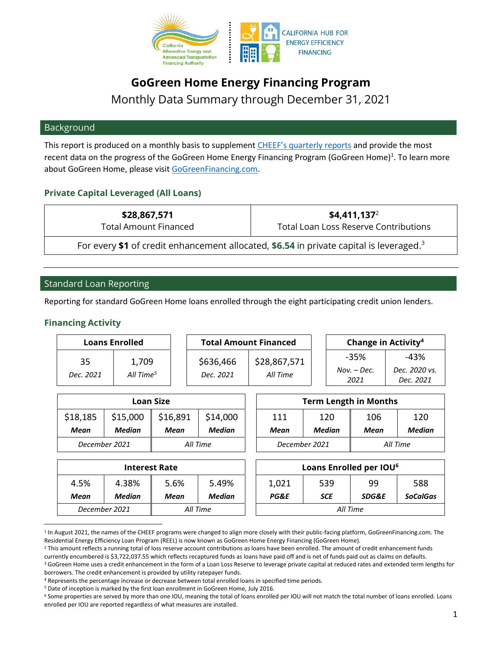

# **GoGreen Home Energy Financing Program**

Monthly Data Summary through December 31, 2021

#### Background

This report is produced on a monthly basis to supplement [CHEEF's quarterly reports](https://www.treasurer.ca.gov/caeatfa/cheef/cheef-reports-and-additional-materials.asp) and provide the most recent data on the progress of the GoGreen Home Energy Financing Program (GoGreen Home)<sup>1</sup>. To learn more about GoGreen Home, please visi[t GoGreenFinancing.com.](https://gogreenfinancing.com/)

# **Private Capital Leveraged (All Loans)**

| \$28,867,571                                                                                        | $$4.411.137^2$                               |  |  |  |
|-----------------------------------------------------------------------------------------------------|----------------------------------------------|--|--|--|
| <b>Total Amount Financed</b>                                                                        | <b>Total Loan Loss Reserve Contributions</b> |  |  |  |
| For every \$1 of credit enhancement allocated, \$6.54 in private capital is leveraged. <sup>3</sup> |                                              |  |  |  |

# Standard Loan Reporting

Reporting for standard GoGreen Home loans enrolled through the eight participating credit union lenders.

#### **Financing Activity**

| <b>Loans Enrolled</b> |                                |                        | <b>Total Amount Financed</b> | Change in Activity <sup>4</sup> |                               |                                      |
|-----------------------|--------------------------------|------------------------|------------------------------|---------------------------------|-------------------------------|--------------------------------------|
| 35<br>Dec. 2021       | 1,709<br>All Time <sup>5</sup> | \$636,466<br>Dec. 2021 | \$28,867,571<br>All Time     |                                 | -35%<br>$Nov. - Dec.$<br>2021 | $-43%$<br>Dec. 2020 vs.<br>Dec. 2021 |

| <b>Loan Size</b> |                           |          |          |               | <b>Term Length in Months</b> |      |  |
|------------------|---------------------------|----------|----------|---------------|------------------------------|------|--|
| \$18,185         | \$15,000                  | \$16,891 | \$14,000 | 111           | 120                          | 106  |  |
| Mean             | Median                    | Mean     | Median   | Mean          | Median                       | Mean |  |
|                  | December 2021<br>All Time |          |          | December 2021 | All Time                     |      |  |

| Loan Size |          |               | <b>Term Length in Months</b> |               |          |        |  |
|-----------|----------|---------------|------------------------------|---------------|----------|--------|--|
| 00        | \$16,891 | \$14,000      | 111                          | 120           | 106      | 120    |  |
| an        | Mean     | <b>Median</b> | Mean                         | <b>Median</b> | Mean     | Median |  |
|           | All Time |               | December 2021                |               | All Time |        |  |
|           |          |               |                              |               |          |        |  |

| <b>Interest Rate</b> |          |               | <b>Loans Enrolled</b> |                 |            |          |
|----------------------|----------|---------------|-----------------------|-----------------|------------|----------|
| 4.5%<br>4.38%        | 5.6%     | 5.49%         |                       | 1,021           | 539        |          |
| Median<br>Mean       | Mean     | <b>Median</b> |                       | <b>PG&amp;E</b> | <b>SCE</b> |          |
| December 2021        | All Time |               |                       |                 |            | All Time |

|       | Interest Rate |               |          |            | Loans Enrolled per IOU <sup>6</sup> |                 |  |
|-------|---------------|---------------|----------|------------|-------------------------------------|-----------------|--|
| 38%   | 5.6%          | 5.49%         | 1,021    | 539        | 99                                  | 588             |  |
| dian: | Mean          | <b>Median</b> | PG&E     | <b>SCE</b> | <b>SDG&amp;E</b>                    | <b>SoCalGas</b> |  |
| 21    | All Time      |               | All Time |            |                                     |                 |  |

<sup>&</sup>lt;sup>1</sup> In August 2021, the names of the CHEEF programs were changed to align more closely with their public-facing platform, GoGreenFinancing.com. The Residential Energy Efficiency Loan Program (REEL) is now known as GoGreen Home Energy Financing (GoGreen Home).

<sup>&</sup>lt;sup>2</sup> This amount reflects a running total of loss reserve account contributions as loans have been enrolled. The amount of credit enhancement funds

currently encumbered is \$3,722,037.55 which reflects recaptured funds as loans have paid off and is net of funds paid out as claims on defaults.

<sup>&</sup>lt;sup>3</sup> GoGreen Home uses a credit enhancement in the form of a Loan Loss Reserve to leverage private capital at reduced rates and extended term lengths for borrowers. The credit enhancement is provided by utility ratepayer funds.

<sup>4</sup> Represents the percentage increase or decrease between total enrolled loans in specified time periods.

<sup>5</sup> Date of inception is marked by the first loan enrollment in GoGreen Home, July 2016.

<sup>6</sup> Some properties are served by more than one IOU, meaning the total of loans enrolled per IOU will not match the total number of loans enrolled. Loans enrolled per IOU are reported regardless of what measures are installed.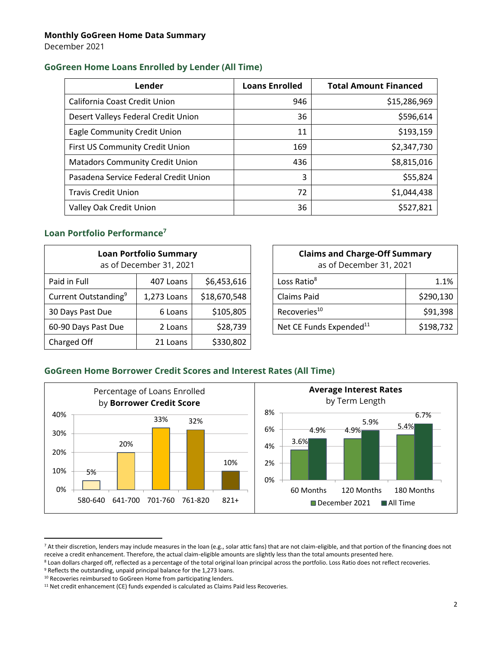December 2021

## **GoGreen Home Loans Enrolled by Lender (All Time)**

| Lender                                 | <b>Loans Enrolled</b> | <b>Total Amount Financed</b> |
|----------------------------------------|-----------------------|------------------------------|
| California Coast Credit Union          | 946                   | \$15,286,969                 |
| Desert Valleys Federal Credit Union    | 36                    | \$596,614                    |
| Eagle Community Credit Union           | 11                    | \$193,159                    |
| First US Community Credit Union        | 169                   | \$2,347,730                  |
| <b>Matadors Community Credit Union</b> | 436                   | \$8,815,016                  |
| Pasadena Service Federal Credit Union  | 3                     | \$55,824                     |
| <b>Travis Credit Union</b>             | 72                    | \$1,044,438                  |
| Valley Oak Credit Union                | 36                    | \$527,821                    |

# **Loan Portfolio Performance<sup>7</sup>**

| <b>Loan Portfolio Summary</b><br>as of December 31, 2021 |             |              |  | <b>Claims and Charge-Off Summary</b><br>as of December 31, 2021 |           |
|----------------------------------------------------------|-------------|--------------|--|-----------------------------------------------------------------|-----------|
| Paid in Full                                             | 407 Loans   | \$6,453,616  |  | Loss Ratio <sup>8</sup>                                         | 1.1%      |
| Current Outstanding <sup>9</sup>                         | 1,273 Loans | \$18,670,548 |  | Claims Paid                                                     | \$290,130 |
| 30 Days Past Due                                         | 6 Loans     | \$105,805    |  | Recoveries <sup>10</sup>                                        | \$91,398  |
| 60-90 Days Past Due                                      | 2 Loans     | \$28,739     |  | Net CE Funds Expended <sup>11</sup>                             | \$198,732 |
| Charged Off                                              | 21 Loans    | \$330,802    |  |                                                                 |           |

| <b>Claims and Charge-Off Summary</b><br>as of December 31, 2021 |           |  |  |  |
|-----------------------------------------------------------------|-----------|--|--|--|
| Loss Ratio <sup>8</sup>                                         | 1.1%      |  |  |  |
| Claims Paid                                                     | \$290,130 |  |  |  |
| Recoveries <sup>10</sup>                                        | \$91,398  |  |  |  |
| Net CE Funds Expended <sup>11</sup>                             | \$198,732 |  |  |  |

## **GoGreen Home Borrower Credit Scores and Interest Rates (All Time)**



<sup>&</sup>lt;sup>7</sup> At their discretion, lenders may include measures in the loan (e.g., solar attic fans) that are not claim-eligible, and that portion of the financing does not receive a credit enhancement. Therefore, the actual claim-eligible amounts are slightly less than the total amounts presented here.

<sup>&</sup>lt;sup>8</sup> Loan dollars charged off, reflected as a percentage of the total original loan principal across the portfolio. Loss Ratio does not reflect recoveries.

<sup>&</sup>lt;sup>9</sup> Reflects the outstanding, unpaid principal balance for the 1,273 loans.

<sup>&</sup>lt;sup>10</sup> Recoveries reimbursed to GoGreen Home from participating lenders.

<sup>&</sup>lt;sup>11</sup> Net credit enhancement (CE) funds expended is calculated as Claims Paid less Recoveries.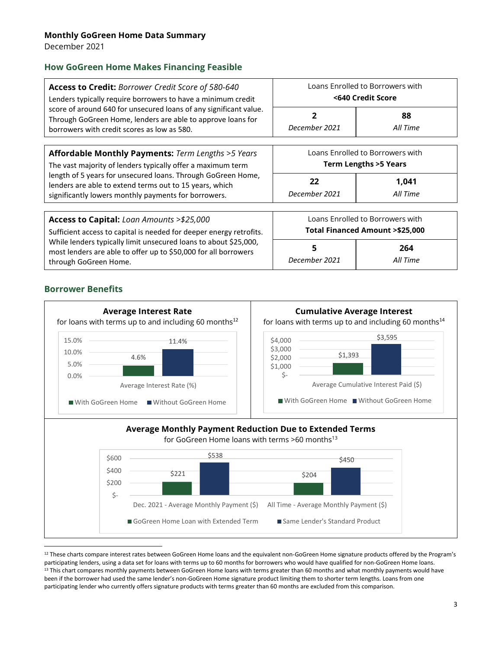December 2021

## **How GoGreen Home Makes Financing Feasible**

| Access to Credit: Borrower Credit Score of 580-640<br>Lenders typically require borrowers to have a minimum credit                                                              | Loans Enrolled to Borrowers with<br><640 Credit Score               |                                  |  |  |
|---------------------------------------------------------------------------------------------------------------------------------------------------------------------------------|---------------------------------------------------------------------|----------------------------------|--|--|
| score of around 640 for unsecured loans of any significant value.<br>Through GoGreen Home, lenders are able to approve loans for<br>borrowers with credit scores as low as 580. | December 2021                                                       | 88<br>All Time                   |  |  |
| Affordable Monthly Payments: Term Lengths >5 Years<br>The vast majority of lenders typically offer a maximum term                                                               | Loans Enrolled to Borrowers with<br><b>Term Lengths &gt;5 Years</b> |                                  |  |  |
| length of 5 years for unsecured loans. Through GoGreen Home,<br>lenders are able to extend terms out to 15 years, which<br>significantly lowers monthly payments for borrowers. | 22<br>December 2021                                                 | 1,041<br>All Time                |  |  |
| Access to Capital: Loan Amounts >\$25,000                                                                                                                                       |                                                                     | Loans Enrolled to Borrowers with |  |  |
| Sufficient access to capital is needed for deeper energy retrofits.                                                                                                             | Total Financed Amount > \$25,000                                    |                                  |  |  |
| While lenders typically limit unsecured loans to about \$25,000,<br>most lenders are able to offer up to \$50,000 for all borrowers                                             | 5                                                                   | 264                              |  |  |

## **Borrower Benefits**



<sup>&</sup>lt;sup>12</sup> These charts compare interest rates between GoGreen Home loans and the equivalent non-GoGreen Home signature products offered by the Program's participating lenders, using a data set for loans with terms up to 60 months for borrowers who would have qualified for non-GoGreen Home loans. <sup>13</sup> This chart compares monthly payments between GoGreen Home loans with terms greater than 60 months and what monthly payments would have been if the borrower had used the same lender's non-GoGreen Home signature product limiting them to shorter term lengths. Loans from one participating lender who currently offers signature products with terms greater than 60 months are excluded from this comparison.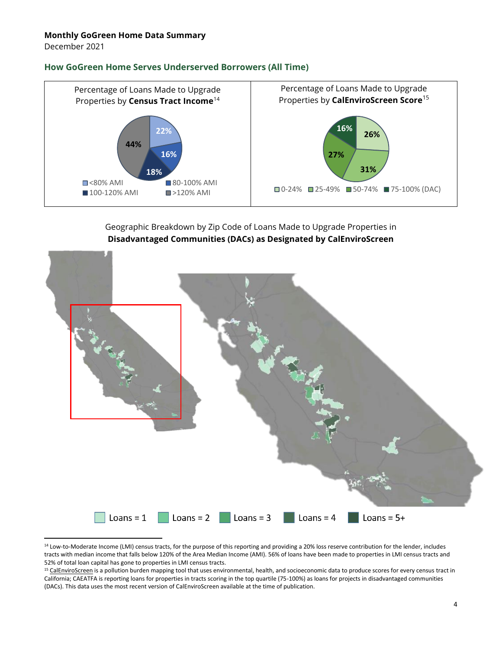December 2021

#### **How GoGreen Home Serves Underserved Borrowers (All Time)**



# Geographic Breakdown by Zip Code of Loans Made to Upgrade Properties in **Disadvantaged Communities (DACs) as Designated by CalEnviroScreen**



<sup>&</sup>lt;sup>14</sup> Low-to-Moderate Income (LMI) census tracts, for the purpose of this reporting and providing a 20% loss reserve contribution for the lender, includes tracts with median income that falls below 120% of the Area Median Income (AMI). 56% of loans have been made to properties in LMI census tracts and 52% of total loan capital has gone to properties in LMI census tracts.

<sup>&</sup>lt;sup>15</sup> [CalEnviroScreen](https://oehha.ca.gov/calenviroscreen) is a pollution burden mapping tool that uses environmental, health, and socioeconomic data to produce scores for every census tract in California; CAEATFA is reporting loans for properties in tracts scoring in the top quartile (75-100%) as loans for projects in disadvantaged communities (DACs). This data uses the most recent version of CalEnviroScreen available at the time of publication.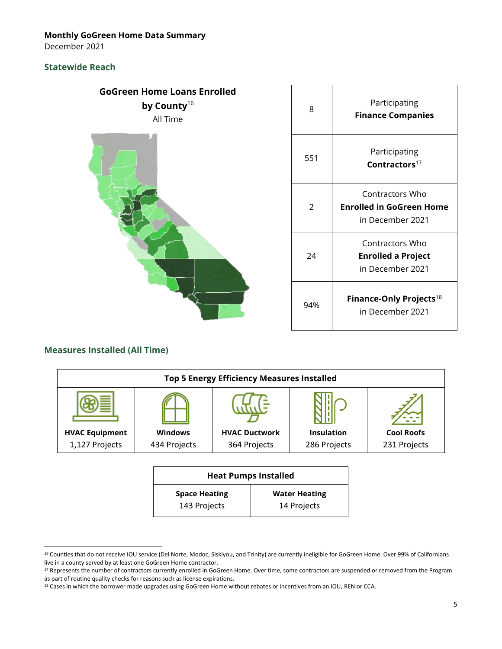December 2021

# **Statewide Reach**



| 8            | Participating<br><b>Finance Companies</b>                        |
|--------------|------------------------------------------------------------------|
| 551          | Participating<br>Contractors $17$                                |
| <sup>2</sup> | Contractors Who<br>Enrolled in GoGreen Home<br>in December 2021  |
| 24           | Contractors Who<br><b>Enrolled a Project</b><br>in December 2021 |
| 94%          | Finance-Only Projects <sup>18</sup><br>in December 2021          |

# **Measures Installed (All Time)**

| <b>Top 5 Energy Efficiency Measures Installed</b> |                |                      |                   |                   |  |
|---------------------------------------------------|----------------|----------------------|-------------------|-------------------|--|
|                                                   |                |                      |                   |                   |  |
| <b>HVAC Equipment</b>                             | <b>Windows</b> | <b>HVAC Ductwork</b> | <b>Insulation</b> | <b>Cool Roofs</b> |  |
| 1,127 Projects                                    | 434 Projects   | 364 Projects         | 286 Projects      | 231 Projects      |  |
|                                                   |                |                      |                   |                   |  |

| <b>Heat Pumps Installed</b> |                      |  |  |
|-----------------------------|----------------------|--|--|
| <b>Space Heating</b>        | <b>Water Heating</b> |  |  |
| 143 Projects                | 14 Projects          |  |  |

<sup>&</sup>lt;sup>16</sup> Counties that do not receive IOU service (Del Norte, Modoc, Siskiyou, and Trinity) are currently ineligible for GoGreen Home. Over 99% of Californians live in a county served by at least one GoGreen Home contractor.

<sup>&</sup>lt;sup>17</sup> Represents the number of contractors currently enrolled in GoGreen Home. Over time, some contractors are suspended or removed from the Program as part of routine quality checks for reasons such as license expirations.

<sup>&</sup>lt;sup>18</sup> Cases in which the borrower made upgrades using GoGreen Home without rebates or incentives from an IOU, REN or CCA.